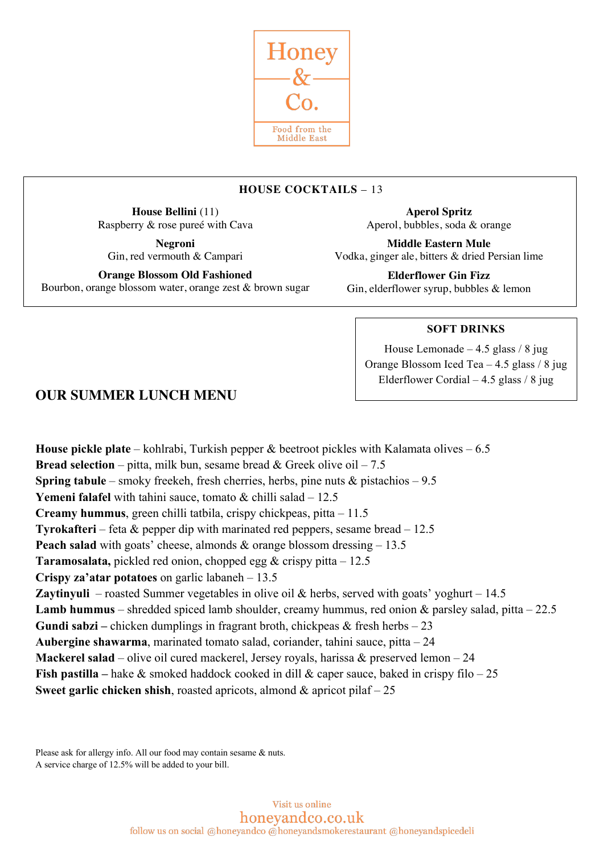

# **HOUSE COCKTAILS** – 13

**House Bellini** (11) Raspberry & rose pureé with Cava

**Negroni** Gin, red vermouth & Campari

**Orange Blossom Old Fashioned** Bourbon, orange blossom water, orange zest & brown sugar

**Aperol Spritz** Aperol, bubbles, soda & orange

**Middle Eastern Mule** Vodka, ginger ale, bitters & dried Persian lime

**Elderflower Gin Fizz** Gin, elderflower syrup, bubbles & lemon

## **SOFT DRINKS**

House Lemonade  $-4.5$  glass / 8 jug Orange Blossom Iced Tea – 4.5 glass / 8 jug Elderflower Cordial – 4.5 glass / 8 jug

# **OUR SUMMER LUNCH MENU**

**House pickle plate** – kohlrabi, Turkish pepper & beetroot pickles with Kalamata olives – 6.5 **Bread selection** – pitta, milk bun, sesame bread  $\&$  Greek olive oil – 7.5 **Spring tabule** – smoky freekeh, fresh cherries, herbs, pine nuts & pistachios – 9.5 **Yemeni falafel** with tahini sauce, tomato & chilli salad – 12.5 **Creamy hummus**, green chilli tatbila, crispy chickpeas, pitta – 11.5 **Tyrokafteri** – feta & pepper dip with marinated red peppers, sesame bread – 12.5 **Peach salad** with goats' cheese, almonds & orange blossom dressing – 13.5 **Taramosalata,** pickled red onion, chopped egg & crispy pitta – 12.5 **Crispy za'atar potatoes** on garlic labaneh – 13.5 **Zaytinyuli** – roasted Summer vegetables in olive oil & herbs, served with goats' yoghurt – 14.5 **Lamb hummus** – shredded spiced lamb shoulder, creamy hummus, red onion & parsley salad, pitta – 22.5 **Gundi sabzi –** chicken dumplings in fragrant broth, chickpeas & fresh herbs – 23 **Aubergine shawarma**, marinated tomato salad, coriander, tahini sauce, pitta – 24 **Mackerel salad** – olive oil cured mackerel, Jersey royals, harissa & preserved lemon – 24 **Fish pastilla –** hake & smoked haddock cooked in dill & caper sauce, baked in crispy filo – 25 **Sweet garlic chicken shish**, roasted apricots, almond & apricot pilaf – 25

Please ask for allergy info. All our food may contain sesame & nuts. A service charge of 12.5% will be added to your bill.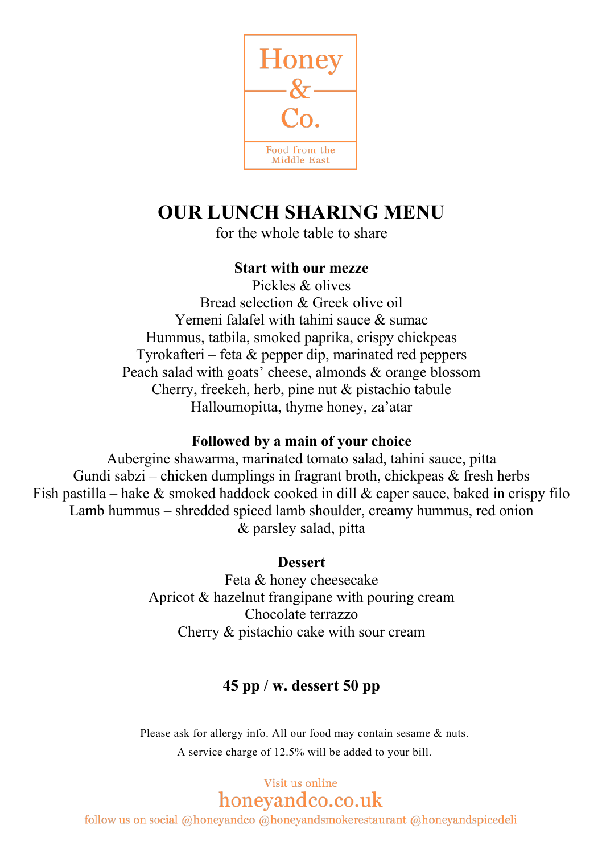

# **OUR LUNCH SHARING MENU**

for the whole table to share

#### **Start with our mezze**

Pickles & olives Bread selection & Greek olive oil Yemeni falafel with tahini sauce & sumac Hummus, tatbila, smoked paprika, crispy chickpeas Tyrokafteri – feta & pepper dip, marinated red peppers Peach salad with goats' cheese, almonds & orange blossom Cherry, freekeh, herb, pine nut & pistachio tabule Halloumopitta, thyme honey, za'atar

#### **Followed by a main of your choice**

Aubergine shawarma, marinated tomato salad, tahini sauce, pitta Gundi sabzi – chicken dumplings in fragrant broth, chickpeas  $\&$  fresh herbs Fish pastilla – hake  $\&$  smoked haddock cooked in dill  $\&$  caper sauce, baked in crispy filo Lamb hummus – shredded spiced lamb shoulder, creamy hummus, red onion & parsley salad, pitta

## **Dessert**

Feta & honey cheesecake Apricot & hazelnut frangipane with pouring cream Chocolate terrazzo Cherry & pistachio cake with sour cream

# **45 pp / w. dessert 50 pp**

Please ask for allergy info. All our food may contain sesame & nuts. A service charge of 12.5% will be added to your bill.

# Visit us online honeyandco.co.uk

follow us on social @honeyandco @honeyandsmokerestaurant @honeyandspicedeli